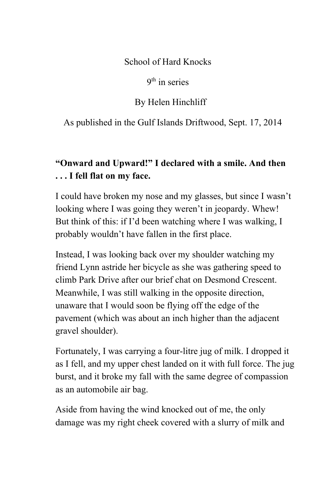School of Hard Knocks

9<sup>th</sup> in series

By Helen Hinchliff

As published in the Gulf Islands Driftwood, Sept. 17, 2014

## **"Onward and Upward!" I declared with a smile. And then . . . I fell flat on my face.**

I could have broken my nose and my glasses, but since I wasn't looking where I was going they weren't in jeopardy. Whew! But think of this: if I'd been watching where I was walking, I probably wouldn't have fallen in the first place.

Instead, I was looking back over my shoulder watching my friend Lynn astride her bicycle as she was gathering speed to climb Park Drive after our brief chat on Desmond Crescent. Meanwhile, I was still walking in the opposite direction, unaware that I would soon be flying off the edge of the pavement (which was about an inch higher than the adjacent gravel shoulder).

Fortunately, I was carrying a four-litre jug of milk. I dropped it as I fell, and my upper chest landed on it with full force. The jug burst, and it broke my fall with the same degree of compassion as an automobile air bag.

Aside from having the wind knocked out of me, the only damage was my right cheek covered with a slurry of milk and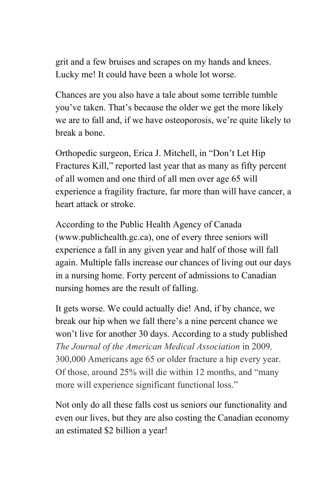grit and a few bruises and scrapes on my hands and knees. Lucky me! It could have been a whole lot worse.

Chances are you also have a tale about some terrible tumble you've taken. That's because the older we get the more likely we are to fall and, if we have osteoporosis, we're quite likely to break a bone.

Orthopedic surgeon, Erica J. Mitchell, in "Don't Let Hip Fractures Kill," reported last year that as many as fifty percent of all women and one third of all men over age 65 will experience a fragility fracture, far more than will have cancer, a heart attack or stroke.

According to the Public Health Agency of Canada (www.publichealth.gc.ca), one of every three seniors will experience a fall in any given year and half of those will fall again. Multiple falls increase our chances of living out our days in a nursing home. Forty percent of admissions to Canadian nursing homes are the result of falling.

It gets worse. We could actually die! And, if by chance, we break our hip when we fall there's a nine percent chance we won't live for another 30 days. According to a study published *The Journal of the American Medical Association* in 2009*,* 300,000 Americans age 65 or older fracture a hip every year. Of those, around 25% will die within 12 months, and "many more will experience significant functional loss."

Not only do all these falls cost us seniors our functionality and even our lives, but they are also costing the Canadian economy an estimated \$2 billion a year!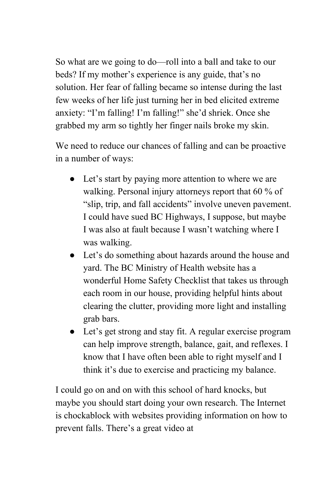So what are we going to do—roll into a ball and take to our beds? If my mother's experience is any guide, that's no solution. Her fear of falling became so intense during the last few weeks of her life just turning her in bed elicited extreme anxiety: "I'm falling! I'm falling!" she'd shriek. Once she grabbed my arm so tightly her finger nails broke my skin.

We need to reduce our chances of falling and can be proactive in a number of ways:

- Let's start by paying more attention to where we are walking. Personal injury attorneys report that 60 % of "slip, trip, and fall accidents" involve uneven pavement. I could have sued BC Highways, I suppose, but maybe I was also at fault because I wasn't watching where I was walking.
- Let's do something about hazards around the house and yard. The BC Ministry of Health website has a wonderful Home Safety Checklist that takes us through each room in our house, providing helpful hints about clearing the clutter, providing more light and installing grab bars.
- Let's get strong and stay fit. A regular exercise program can help improve strength, balance, gait, and reflexes. I know that I have often been able to right myself and I think it's due to exercise and practicing my balance.

I could go on and on with this school of hard knocks, but maybe you should start doing your own research. The Internet is chockablock with websites providing information on how to prevent falls. There's a great video at